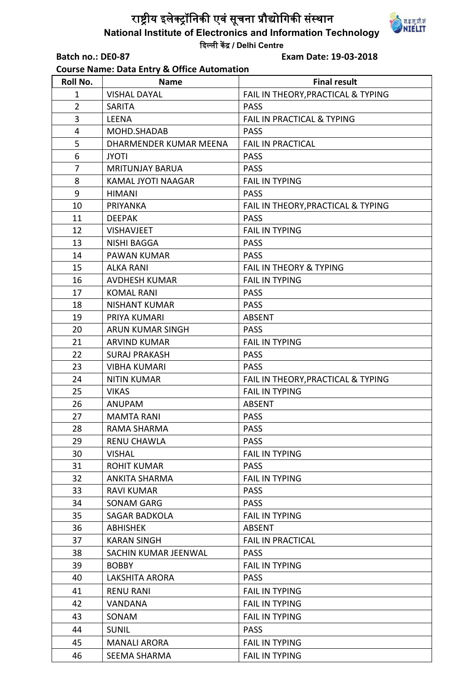## राष्ट्रीय इलेक्ट्रॉनिकी एवं सूचना प्रौद्योगिकी संस्थान **National Institute of Electronics and Information Technology**  दिल्ली केंद्र / **Delhi Centre**

**Course Name: Data Entry & Office Automation** 

**Batch no.: DE0-87 Exam Date: 19-03-2018**

| Roll No.       | <b>Name</b>               | <b>Final result</b>                |
|----------------|---------------------------|------------------------------------|
| 1              | <b>VISHAL DAYAL</b>       | FAIL IN THEORY, PRACTICAL & TYPING |
| $\overline{2}$ | <b>SARITA</b>             | <b>PASS</b>                        |
| 3              | <b>LEENA</b>              | FAIL IN PRACTICAL & TYPING         |
| 4              | MOHD.SHADAB               | <b>PASS</b>                        |
| 5              | DHARMENDER KUMAR MEENA    | <b>FAIL IN PRACTICAL</b>           |
| 6              | <b>JYOTI</b>              | <b>PASS</b>                        |
| 7              | <b>MRITUNJAY BARUA</b>    | <b>PASS</b>                        |
| 8              | <b>KAMAL JYOTI NAAGAR</b> | <b>FAIL IN TYPING</b>              |
| 9              | <b>HIMANI</b>             | <b>PASS</b>                        |
| 10             | PRIYANKA                  | FAIL IN THEORY, PRACTICAL & TYPING |
| 11             | <b>DEEPAK</b>             | <b>PASS</b>                        |
| 12             | <b>VISHAVJEET</b>         | <b>FAIL IN TYPING</b>              |
| 13             | <b>NISHI BAGGA</b>        | <b>PASS</b>                        |
| 14             | <b>PAWAN KUMAR</b>        | <b>PASS</b>                        |
| 15             | <b>ALKA RANI</b>          | <b>FAIL IN THEORY &amp; TYPING</b> |
| 16             | <b>AVDHESH KUMAR</b>      | <b>FAIL IN TYPING</b>              |
| 17             | <b>KOMAL RANI</b>         | <b>PASS</b>                        |
| 18             | <b>NISHANT KUMAR</b>      | <b>PASS</b>                        |
| 19             | PRIYA KUMARI              | <b>ABSENT</b>                      |
| 20             | ARUN KUMAR SINGH          | <b>PASS</b>                        |
| 21             | <b>ARVIND KUMAR</b>       | <b>FAIL IN TYPING</b>              |
| 22             | <b>SURAJ PRAKASH</b>      | <b>PASS</b>                        |
| 23             | <b>VIBHA KUMARI</b>       | <b>PASS</b>                        |
| 24             | <b>NITIN KUMAR</b>        | FAIL IN THEORY, PRACTICAL & TYPING |
| 25             | <b>VIKAS</b>              | <b>FAIL IN TYPING</b>              |
| 26             | <b>ANUPAM</b>             | <b>ABSENT</b>                      |
| 27             | <b>MAMTA RANI</b>         | <b>PASS</b>                        |
| 28             | RAMA SHARMA               | <b>PASS</b>                        |
| 29             | <b>RENU CHAWLA</b>        | <b>PASS</b>                        |
| 30             | <b>VISHAL</b>             | <b>FAIL IN TYPING</b>              |
| 31             | <b>ROHIT KUMAR</b>        | <b>PASS</b>                        |
| 32             | ANKITA SHARMA             | <b>FAIL IN TYPING</b>              |
| 33             | <b>RAVI KUMAR</b>         | <b>PASS</b>                        |
| 34             | <b>SONAM GARG</b>         | <b>PASS</b>                        |
| 35             | SAGAR BADKOLA             | <b>FAIL IN TYPING</b>              |
| 36             | <b>ABHISHEK</b>           | <b>ABSENT</b>                      |
| 37             | <b>KARAN SINGH</b>        | <b>FAIL IN PRACTICAL</b>           |
| 38             | SACHIN KUMAR JEENWAL      | <b>PASS</b>                        |
| 39             | <b>BOBBY</b>              | <b>FAIL IN TYPING</b>              |

40 LAKSHITA ARORA PASS

44 SUNIL PASS

41 | RENU RANI | FAIL IN TYPING 42 VANDANA FAIL IN TYPING 43 SONAM FAIL IN TYPING

45 | MANALI ARORA | FAIL IN TYPING 46 | SEEMA SHARMA | FAIL IN TYPING

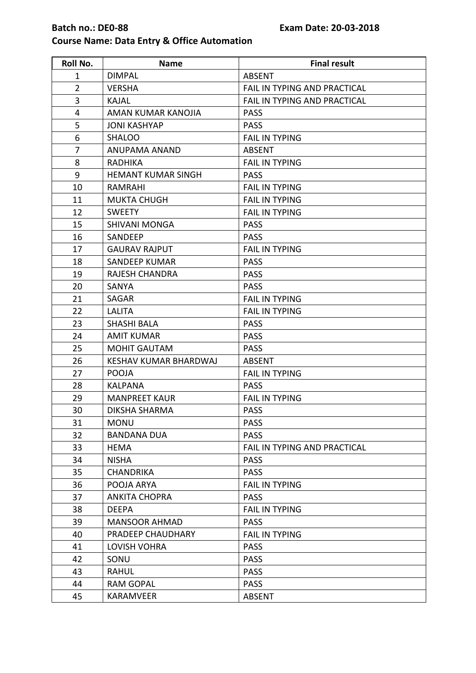# **Batch no.: DE0-88 Exam Date: 20-03-2018**

### **Course Name: Data Entry & Office Automation**

| Roll No.       | <b>Name</b>                  | <b>Final result</b>                 |
|----------------|------------------------------|-------------------------------------|
| $\mathbf 1$    | <b>DIMPAL</b>                | <b>ABSENT</b>                       |
| $\overline{2}$ | <b>VERSHA</b>                | FAIL IN TYPING AND PRACTICAL        |
| 3              | <b>KAJAL</b>                 | FAIL IN TYPING AND PRACTICAL        |
| 4              | AMAN KUMAR KANOJIA           | <b>PASS</b>                         |
| 5              | <b>JONI KASHYAP</b>          | <b>PASS</b>                         |
| 6              | <b>SHALOO</b>                | <b>FAIL IN TYPING</b>               |
| $\overline{7}$ | ANUPAMA ANAND                | <b>ABSENT</b>                       |
| 8              | <b>RADHIKA</b>               | <b>FAIL IN TYPING</b>               |
| 9              | <b>HEMANT KUMAR SINGH</b>    | <b>PASS</b>                         |
| 10             | <b>RAMRAHI</b>               | <b>FAIL IN TYPING</b>               |
| 11             | <b>MUKTA CHUGH</b>           | <b>FAIL IN TYPING</b>               |
| 12             | <b>SWEETY</b>                | <b>FAIL IN TYPING</b>               |
| 15             | <b>SHIVANI MONGA</b>         | <b>PASS</b>                         |
| 16             | SANDEEP                      | <b>PASS</b>                         |
| 17             | <b>GAURAV RAJPUT</b>         | <b>FAIL IN TYPING</b>               |
| 18             | <b>SANDEEP KUMAR</b>         | <b>PASS</b>                         |
| 19             | <b>RAJESH CHANDRA</b>        | <b>PASS</b>                         |
| 20             | SANYA                        | <b>PASS</b>                         |
| 21             | SAGAR                        | <b>FAIL IN TYPING</b>               |
| 22             | LALITA                       | <b>FAIL IN TYPING</b>               |
| 23             | <b>SHASHI BALA</b>           | <b>PASS</b>                         |
| 24             | <b>AMIT KUMAR</b>            | <b>PASS</b>                         |
| 25             | <b>MOHIT GAUTAM</b>          | <b>PASS</b>                         |
| 26             | <b>KESHAV KUMAR BHARDWAJ</b> | <b>ABSENT</b>                       |
| 27             | <b>POOJA</b>                 | <b>FAIL IN TYPING</b>               |
| 28             | <b>KALPANA</b>               | <b>PASS</b>                         |
| 29             | <b>MANPREET KAUR</b>         | <b>FAIL IN TYPING</b>               |
| 30             | <b>DIKSHA SHARMA</b>         | <b>PASS</b>                         |
| 31             | <b>MONU</b>                  | <b>PASS</b>                         |
| 32             | <b>BANDANA DUA</b>           | <b>PASS</b>                         |
| 33             | <b>HEMA</b>                  | <b>FAIL IN TYPING AND PRACTICAL</b> |
| 34             | <b>NISHA</b>                 | <b>PASS</b>                         |
| 35             | <b>CHANDRIKA</b>             | <b>PASS</b>                         |
| 36             | POOJA ARYA                   | <b>FAIL IN TYPING</b>               |
| 37             | <b>ANKITA CHOPRA</b>         | <b>PASS</b>                         |
| 38             | <b>DEEPA</b>                 | <b>FAIL IN TYPING</b>               |
| 39             | <b>MANSOOR AHMAD</b>         | <b>PASS</b>                         |
| 40             | PRADEEP CHAUDHARY            | <b>FAIL IN TYPING</b>               |
| 41             | <b>LOVISH VOHRA</b>          | <b>PASS</b>                         |
| 42             | SONU                         | <b>PASS</b>                         |
| 43             | <b>RAHUL</b>                 | <b>PASS</b>                         |
| 44             | <b>RAM GOPAL</b>             | <b>PASS</b>                         |
| 45             | <b>KARAMVEER</b>             | <b>ABSENT</b>                       |